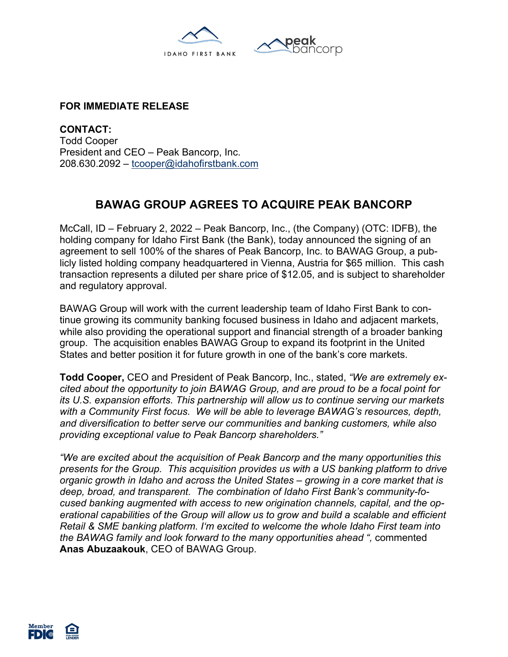



## **FOR IMMEDIATE RELEASE**

**CONTACT:** Todd Cooper President and CEO – Peak Bancorp, Inc. 208.630.2092 – tcooper@idahofirstbank.com

## **BAWAG GROUP AGREES TO ACQUIRE PEAK BANCORP**

McCall, ID – February 2, 2022 – Peak Bancorp, Inc., (the Company) (OTC: IDFB), the holding company for Idaho First Bank (the Bank), today announced the signing of an agreement to sell 100% of the shares of Peak Bancorp, Inc. to BAWAG Group, a publicly listed holding company headquartered in Vienna, Austria for \$65 million. This cash transaction represents a diluted per share price of \$12.05, and is subject to shareholder and regulatory approval.

BAWAG Group will work with the current leadership team of Idaho First Bank to continue growing its community banking focused business in Idaho and adjacent markets, while also providing the operational support and financial strength of a broader banking group. The acquisition enables BAWAG Group to expand its footprint in the United States and better position it for future growth in one of the bank's core markets.

**Todd Cooper,** CEO and President of Peak Bancorp, Inc., stated, *"We are extremely excited about the opportunity to join BAWAG Group, and are proud to be a focal point for its U.S. expansion efforts. This partnership will allow us to continue serving our markets with a Community First focus. We will be able to leverage BAWAG's resources, depth, and diversification to better serve our communities and banking customers, while also providing exceptional value to Peak Bancorp shareholders."*

*"We are excited about the acquisition of Peak Bancorp and the many opportunities this presents for the Group. This acquisition provides us with a US banking platform to drive organic growth in Idaho and across the United States – growing in a core market that is deep, broad, and transparent. The combination of Idaho First Bank's community-focused banking augmented with access to new origination channels, capital, and the operational capabilities of the Group will allow us to grow and build a scalable and efficient Retail & SME banking platform. I'm excited to welcome the whole Idaho First team into the BAWAG family and look forward to the many opportunities ahead ",* commented **Anas Abuzaakouk**, CEO of BAWAG Group.